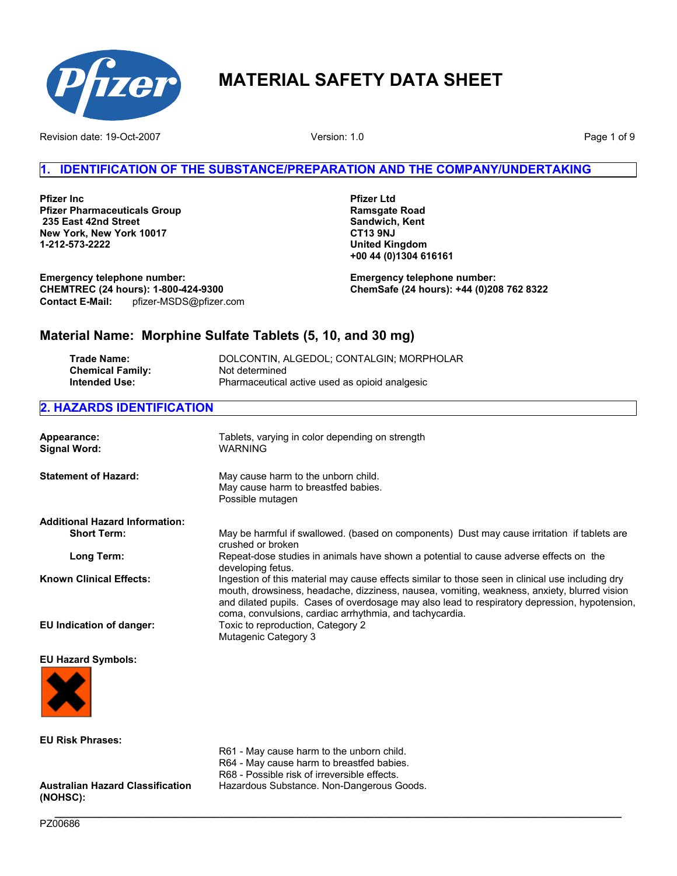

Revision date: 19-Oct-2007 **Page 1 of 9** Network Christian Mercian Christian Mercian Mercian Device 2007 **Page 1 of 9** 

Version: 1.0

# **1. IDENTIFICATION OF THE SUBSTANCE/PREPARATION AND THE COMPANY/UNDERTAKING**

**Pfizer Inc Pfizer Pharmaceuticals Group 235 East 42nd Street New York, New York 10017 1-212-573-2222**

**Pfizer Ltd Ramsgate Road Sandwich, Kent CT13 9NJ United Kingdom +00 44 (0)1304 616161**

pfizer-MSDS@pfizer.com **Emergency telephone number: CHEMTREC (24 hours): 1-800-424-9300 Contact E-Mail:** 

**Emergency telephone number: ChemSafe (24 hours): +44 (0)208 762 8322**

# **Material Name: Morphine Sulfate Tablets (5, 10, and 30 mg)**

| Trade Name:             | DOLCONTIN, ALGEDOL: CONTALGIN: MORPHOLAR       |
|-------------------------|------------------------------------------------|
| <b>Chemical Family:</b> | Not determined                                 |
| Intended Use:           | Pharmaceutical active used as opioid analgesic |

# **2. HAZARDS IDENTIFICATION**

| Appearance:<br><b>Signal Word:</b>    | Tablets, varying in color depending on strength<br><b>WARNING</b>                                                                                                                                                                                                                                                                                           |
|---------------------------------------|-------------------------------------------------------------------------------------------------------------------------------------------------------------------------------------------------------------------------------------------------------------------------------------------------------------------------------------------------------------|
| <b>Statement of Hazard:</b>           | May cause harm to the unborn child.<br>May cause harm to breastfed babies.<br>Possible mutagen                                                                                                                                                                                                                                                              |
| <b>Additional Hazard Information:</b> |                                                                                                                                                                                                                                                                                                                                                             |
| <b>Short Term:</b>                    | May be harmful if swallowed. (based on components) Dust may cause irritation if tablets are<br>crushed or broken                                                                                                                                                                                                                                            |
| Long Term:                            | Repeat-dose studies in animals have shown a potential to cause adverse effects on the<br>developing fetus.                                                                                                                                                                                                                                                  |
| <b>Known Clinical Effects:</b>        | Ingestion of this material may cause effects similar to those seen in clinical use including dry<br>mouth, drowsiness, headache, dizziness, nausea, vomiting, weakness, anxiety, blurred vision<br>and dilated pupils. Cases of overdosage may also lead to respiratory depression, hypotension,<br>coma, convulsions, cardiac arrhythmia, and tachycardia. |
| EU Indication of danger:              | Toxic to reproduction, Category 2<br>Mutagenic Category 3                                                                                                                                                                                                                                                                                                   |
| <b>EU Hazard Symbols:</b>             |                                                                                                                                                                                                                                                                                                                                                             |



**EU Risk Phrases:** 

**Australian Hazard Classification** 

- R61 May cause harm to the unborn child. R64 - May cause harm to breastfed babies.
- R68 Possible risk of irreversible effects.

Hazardous Substance. Non-Dangerous Goods.

**\_\_\_\_\_\_\_\_\_\_\_\_\_\_\_\_\_\_\_\_\_\_\_\_\_\_\_\_\_\_\_\_\_\_\_\_\_\_\_\_\_\_\_\_\_\_\_\_\_\_\_\_\_\_\_\_\_\_\_\_\_\_\_\_\_\_\_\_\_\_\_\_\_\_\_\_\_\_\_\_\_\_\_\_\_\_\_\_\_\_\_\_\_\_\_\_\_\_\_\_\_\_\_**  PZ00686

**(NOHSC):**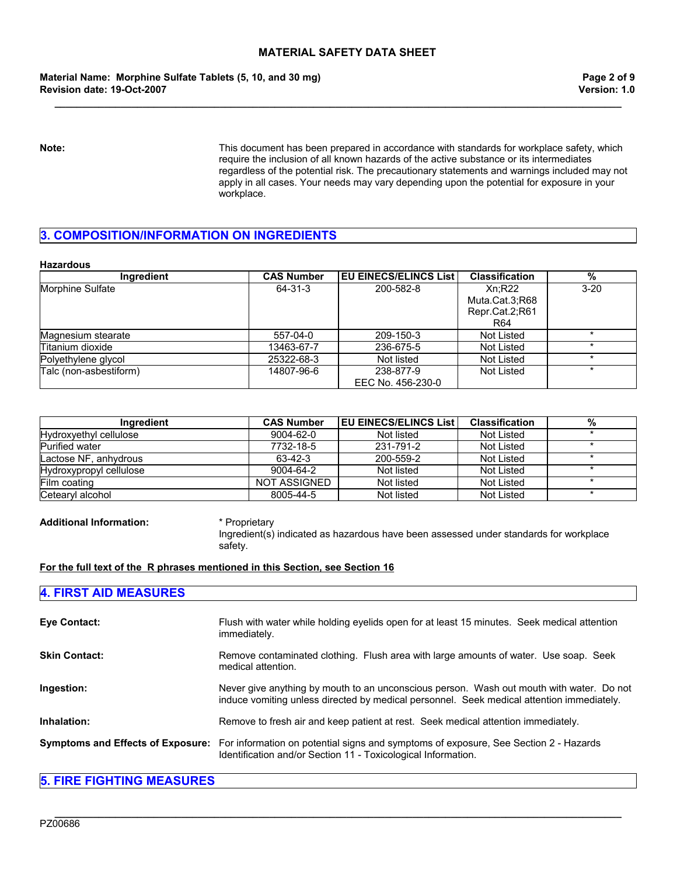**\_\_\_\_\_\_\_\_\_\_\_\_\_\_\_\_\_\_\_\_\_\_\_\_\_\_\_\_\_\_\_\_\_\_\_\_\_\_\_\_\_\_\_\_\_\_\_\_\_\_\_\_\_\_\_\_\_\_\_\_\_\_\_\_\_\_\_\_\_\_\_\_\_\_\_\_\_\_\_\_\_\_\_\_\_\_\_\_\_\_\_\_\_\_\_\_\_\_\_\_\_\_\_** 

**Material Name: Morphine Sulfate Tablets (5, 10, and 30 mg) Revision date: 19-Oct-2007**

**Note:** This document has been prepared in accordance with standards for workplace safety, which require the inclusion of all known hazards of the active substance or its intermediates regardless of the potential risk. The precautionary statements and warnings included may not apply in all cases. Your needs may vary depending upon the potential for exposure in your workplace.

# **3. COMPOSITION/INFORMATION ON INGREDIENTS**

#### **Hazardous**

| Ingredient             | <b>CAS Number</b> | <b>IEU EINECS/ELINCS List I</b> | <b>Classification</b> | %        |
|------------------------|-------------------|---------------------------------|-----------------------|----------|
| Morphine Sulfate       | 64-31-3           | 200-582-8                       | Xn:R22                | $3 - 20$ |
|                        |                   |                                 | Muta.Cat.3:R68        |          |
|                        |                   |                                 | Repr.Cat.2;R61        |          |
|                        |                   |                                 | R <sub>64</sub>       |          |
| Magnesium stearate     | 557-04-0          | 209-150-3                       | Not Listed            |          |
| Titanium dioxide       | 13463-67-7        | 236-675-5                       | Not Listed            |          |
| Polyethylene glycol    | 25322-68-3        | Not listed                      | Not Listed            | $\star$  |
| Talc (non-asbestiform) | 14807-96-6        | 238-877-9                       | Not Listed            |          |
|                        |                   | EEC No. 456-230-0               |                       |          |

| Ingredient              | <b>CAS Number</b> | <b>IEU EINECS/ELINCS List  </b> | <b>Classification</b> | % |
|-------------------------|-------------------|---------------------------------|-----------------------|---|
| Hydroxyethyl cellulose  | 9004-62-0         | Not listed                      | Not Listed            |   |
| <b>Purified water</b>   | 7732-18-5         | 231-791-2                       | Not Listed            |   |
| Lactose NF, anhydrous   | 63-42-3           | 200-559-2                       | Not Listed            |   |
| Hydroxypropyl cellulose | 9004-64-2         | Not listed                      | Not Listed            |   |
| Film coating            | NOT ASSIGNED      | Not listed                      | Not Listed            |   |
| Cetearyl alcohol        | 8005-44-5         | Not listed                      | Not Listed            |   |

**Additional Information:** \* Proprietary

Ingredient(s) indicated as hazardous have been assessed under standards for workplace safety.

### **For the full text of the R phrases mentioned in this Section, see Section 16**

### **4. FIRST AID MEASURES**

| <b>Eye Contact:</b>  | Flush with water while holding eyelids open for at least 15 minutes. Seek medical attention<br>immediately.                                                                             |
|----------------------|-----------------------------------------------------------------------------------------------------------------------------------------------------------------------------------------|
| <b>Skin Contact:</b> | Remove contaminated clothing. Flush area with large amounts of water. Use soap. Seek<br>medical attention.                                                                              |
| Ingestion:           | Never give anything by mouth to an unconscious person. Wash out mouth with water. Do not<br>induce vomiting unless directed by medical personnel. Seek medical attention immediately.   |
| Inhalation:          | Remove to fresh air and keep patient at rest. Seek medical attention immediately.                                                                                                       |
|                      | Symptoms and Effects of Exposure: For information on potential signs and symptoms of exposure, See Section 2 - Hazards<br>Identification and/or Section 11 - Toxicological Information. |

# **5. FIRE FIGHTING MEASURES**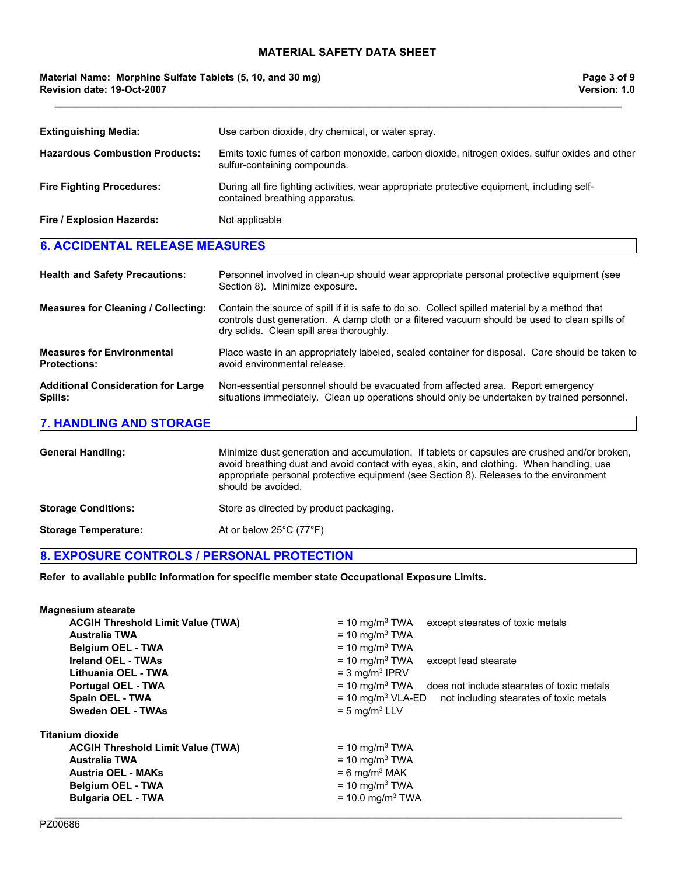**\_\_\_\_\_\_\_\_\_\_\_\_\_\_\_\_\_\_\_\_\_\_\_\_\_\_\_\_\_\_\_\_\_\_\_\_\_\_\_\_\_\_\_\_\_\_\_\_\_\_\_\_\_\_\_\_\_\_\_\_\_\_\_\_\_\_\_\_\_\_\_\_\_\_\_\_\_\_\_\_\_\_\_\_\_\_\_\_\_\_\_\_\_\_\_\_\_\_\_\_\_\_\_** 

### **Material Name: Morphine Sulfate Tablets (5, 10, and 30 mg) Revision date: 19-Oct-2007**

| <b>Extinguishing Media:</b>                              | Use carbon dioxide, dry chemical, or water spray.                                                                                                                                                                                                                                                        |  |  |
|----------------------------------------------------------|----------------------------------------------------------------------------------------------------------------------------------------------------------------------------------------------------------------------------------------------------------------------------------------------------------|--|--|
| <b>Hazardous Combustion Products:</b>                    | Emits toxic fumes of carbon monoxide, carbon dioxide, nitrogen oxides, sulfur oxides and other<br>sulfur-containing compounds.                                                                                                                                                                           |  |  |
| <b>Fire Fighting Procedures:</b>                         | During all fire fighting activities, wear appropriate protective equipment, including self-<br>contained breathing apparatus.                                                                                                                                                                            |  |  |
| Fire / Explosion Hazards:                                | Not applicable                                                                                                                                                                                                                                                                                           |  |  |
| <b>6. ACCIDENTAL RELEASE MEASURES</b>                    |                                                                                                                                                                                                                                                                                                          |  |  |
|                                                          |                                                                                                                                                                                                                                                                                                          |  |  |
| <b>Health and Safety Precautions:</b>                    | Personnel involved in clean-up should wear appropriate personal protective equipment (see<br>Section 8). Minimize exposure.                                                                                                                                                                              |  |  |
| <b>Measures for Cleaning / Collecting:</b>               | Contain the source of spill if it is safe to do so. Collect spilled material by a method that<br>controls dust generation. A damp cloth or a filtered vacuum should be used to clean spills of<br>dry solids. Clean spill area thoroughly.                                                               |  |  |
| <b>Measures for Environmental</b><br><b>Protections:</b> | Place waste in an appropriately labeled, sealed container for disposal. Care should be taken to<br>avoid environmental release.                                                                                                                                                                          |  |  |
| <b>Additional Consideration for Large</b><br>Spills:     | Non-essential personnel should be evacuated from affected area. Report emergency<br>situations immediately. Clean up operations should only be undertaken by trained personnel.                                                                                                                          |  |  |
| <b>7. HANDLING AND STORAGE</b>                           |                                                                                                                                                                                                                                                                                                          |  |  |
|                                                          |                                                                                                                                                                                                                                                                                                          |  |  |
| <b>General Handling:</b>                                 | Minimize dust generation and accumulation. If tablets or capsules are crushed and/or broken,<br>avoid breathing dust and avoid contact with eyes, skin, and clothing. When handling, use<br>appropriate personal protective equipment (see Section 8). Releases to the environment<br>should be avoided. |  |  |

**Storage Conditions: Store as directed by product packaging.** 

**Storage Temperature:** At or below 25°C (77°F)

# **8. EXPOSURE CONTROLS / PERSONAL PROTECTION**

**Refer to available public information for specific member state Occupational Exposure Limits.**

| <b>Magnesium stearate</b>                |                                                                            |
|------------------------------------------|----------------------------------------------------------------------------|
| <b>ACGIH Threshold Limit Value (TWA)</b> | $= 10$ mg/m <sup>3</sup> TWA<br>except stearates of toxic metals           |
| <b>Australia TWA</b>                     | $= 10$ mg/m <sup>3</sup> TWA                                               |
| <b>Belgium OEL - TWA</b>                 | $= 10$ mg/m <sup>3</sup> TWA                                               |
| Ireland OEL - TWAs                       | $= 10$ mg/m <sup>3</sup> TWA<br>except lead stearate                       |
| Lithuania OEL - TWA                      | $=$ 3 mg/m <sup>3</sup> IPRV                                               |
| <b>Portugal OEL - TWA</b>                | $=$ 10 mg/m <sup>3</sup> TWA does not include stearates of toxic metals    |
| Spain OEL - TWA                          | $= 10$ mg/m <sup>3</sup> VLA-ED<br>not including stearates of toxic metals |
| <b>Sweden OEL - TWAs</b>                 | $= 5$ mg/m <sup>3</sup> LLV                                                |
| Titanium dioxide                         |                                                                            |
| <b>ACGIH Threshold Limit Value (TWA)</b> | $= 10$ mg/m <sup>3</sup> TWA                                               |
| <b>Australia TWA</b>                     | $= 10$ mg/m <sup>3</sup> TWA                                               |
| <b>Austria OEL - MAKs</b>                | $= 6$ mg/m <sup>3</sup> MAK                                                |
| <b>Belgium OEL - TWA</b>                 | $= 10$ mg/m <sup>3</sup> TWA                                               |
| <b>Bulgaria OEL - TWA</b>                | $= 10.0$ mg/m <sup>3</sup> TWA                                             |
|                                          |                                                                            |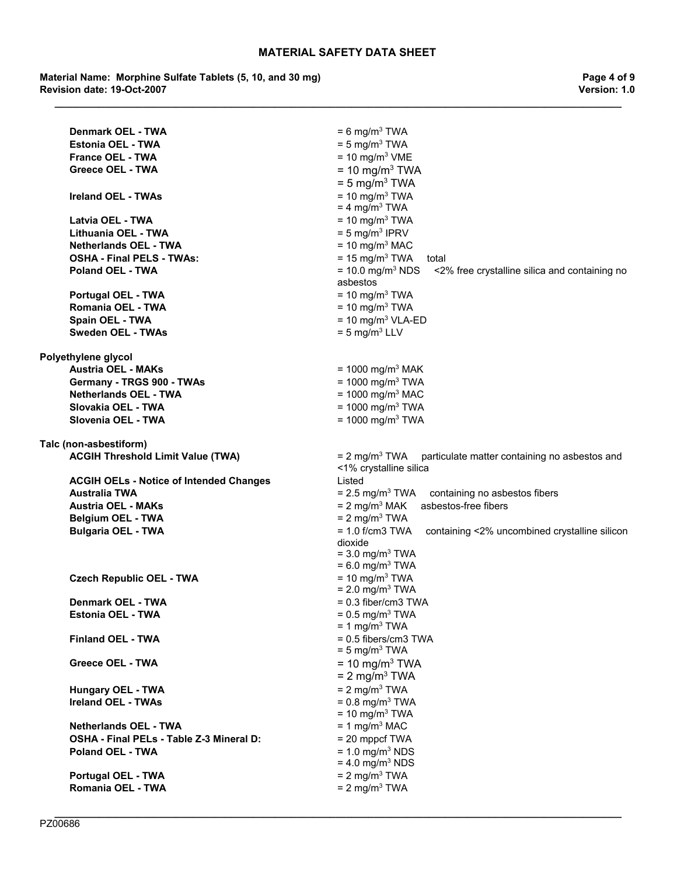**\_\_\_\_\_\_\_\_\_\_\_\_\_\_\_\_\_\_\_\_\_\_\_\_\_\_\_\_\_\_\_\_\_\_\_\_\_\_\_\_\_\_\_\_\_\_\_\_\_\_\_\_\_\_\_\_\_\_\_\_\_\_\_\_\_\_\_\_\_\_\_\_\_\_\_\_\_\_\_\_\_\_\_\_\_\_\_\_\_\_\_\_\_\_\_\_\_\_\_\_\_\_\_** 

**Material Name: Morphine Sulfate Tablets (5, 10, and 30 mg) Revision date: 19-Oct-2007**

**Page 4 of 9 Version: 1.0**

| Denmark OEL - TWA                              | $= 6$ mg/m <sup>3</sup> TWA                                                                 |
|------------------------------------------------|---------------------------------------------------------------------------------------------|
| <b>Estonia OEL - TWA</b>                       | $= 5$ mg/m <sup>3</sup> TWA                                                                 |
| <b>France OEL - TWA</b>                        | $= 10$ mg/m <sup>3</sup> VME                                                                |
| <b>Greece OEL - TWA</b>                        | $= 10$ mg/m <sup>3</sup> TWA                                                                |
|                                                | $= 5$ mg/m <sup>3</sup> TWA                                                                 |
| <b>Ireland OEL - TWAs</b>                      | $= 10$ mg/m <sup>3</sup> TWA                                                                |
|                                                | $= 4$ mg/m <sup>3</sup> TWA                                                                 |
| Latvia OEL - TWA                               | $= 10$ mg/m <sup>3</sup> TWA                                                                |
| Lithuania OEL - TWA                            | $= 5$ mg/m <sup>3</sup> IPRV                                                                |
| <b>Netherlands OEL - TWA</b>                   | $= 10$ mg/m <sup>3</sup> MAC                                                                |
| <b>OSHA - Final PELS - TWAs:</b>               | $= 15$ mg/m <sup>3</sup> TWA<br>total                                                       |
| <b>Poland OEL - TWA</b>                        | $= 10.0$ mg/m <sup>3</sup> NDS<br><2% free crystalline silica and containing no<br>asbestos |
| Portugal OEL - TWA                             | $= 10$ mg/m <sup>3</sup> TWA                                                                |
| Romania OEL - TWA                              | $= 10$ mg/m <sup>3</sup> TWA                                                                |
| Spain OEL - TWA                                | $= 10$ mg/m <sup>3</sup> VLA-ED                                                             |
| <b>Sweden OEL - TWAs</b>                       | $= 5$ mg/m <sup>3</sup> LLV                                                                 |
|                                                |                                                                                             |
| Polyethylene glycol                            |                                                                                             |
| <b>Austria OEL - MAKs</b>                      | = 1000 mg/m <sup>3</sup> MAK                                                                |
| Germany - TRGS 900 - TWAs                      | = 1000 mg/m <sup>3</sup> TWA                                                                |
| <b>Netherlands OEL - TWA</b>                   | $= 1000$ mg/m <sup>3</sup> MAC                                                              |
| Slovakia OEL - TWA                             | = $1000$ mg/m <sup>3</sup> TWA                                                              |
| Slovenia OEL - TWA                             | = 1000 mg/m <sup>3</sup> TWA                                                                |
|                                                |                                                                                             |
| Talc (non-asbestiform)                         | $= 2$ mg/m <sup>3</sup> TWA                                                                 |
| <b>ACGIH Threshold Limit Value (TWA)</b>       | particulate matter containing no asbestos and<br><1% crystalline silica                     |
| <b>ACGIH OELs - Notice of Intended Changes</b> | Listed                                                                                      |
| <b>Australia TWA</b>                           | $= 2.5$ mg/m <sup>3</sup> TWA<br>containing no asbestos fibers                              |
| <b>Austria OEL - MAKs</b>                      | $= 2$ mg/m <sup>3</sup> MAK<br>asbestos-free fibers                                         |
| <b>Belgium OEL - TWA</b>                       | $= 2$ mg/m <sup>3</sup> TWA                                                                 |
| <b>Bulgaria OEL - TWA</b>                      | $= 1.0$ f/cm3 TWA<br>containing <2% uncombined crystalline silicon                          |
|                                                | dioxide                                                                                     |
|                                                | $=$ 3.0 mg/m <sup>3</sup> TWA                                                               |
|                                                | $= 6.0$ mg/m <sup>3</sup> TWA                                                               |
| <b>Czech Republic OEL - TWA</b>                | $= 10$ mg/m <sup>3</sup> TWA                                                                |
|                                                | $= 2.0$ mg/m <sup>3</sup> TWA                                                               |
| Denmark OEL - TWA                              | $= 0.3$ fiber/cm3 TWA                                                                       |
| <b>Estonia OEL - TWA</b>                       | $= 0.5$ mg/m <sup>3</sup> TWA<br>$= 1$ mg/m <sup>3</sup> TWA                                |
| <b>Finland OEL - TWA</b>                       | $= 0.5$ fibers/cm3 TWA                                                                      |
|                                                | $= 5$ mg/m <sup>3</sup> TWA                                                                 |
| <b>Greece OEL - TWA</b>                        | $= 10$ mg/m <sup>3</sup> TWA                                                                |
|                                                | $= 2$ mg/m <sup>3</sup> TWA                                                                 |
| <b>Hungary OEL - TWA</b>                       | $= 2$ mg/m <sup>3</sup> TWA                                                                 |
| <b>Ireland OEL - TWAs</b>                      | $= 0.8$ mg/m <sup>3</sup> TWA                                                               |
|                                                | $= 10$ mg/m <sup>3</sup> TWA                                                                |
| <b>Netherlands OEL - TWA</b>                   | $= 1$ mg/m <sup>3</sup> MAC                                                                 |
| OSHA - Final PELs - Table Z-3 Mineral D:       | $= 20$ mppcf TWA                                                                            |
| <b>Poland OEL - TWA</b>                        | $= 1.0$ mg/m <sup>3</sup> NDS                                                               |
|                                                | $= 4.0$ mg/m <sup>3</sup> NDS                                                               |
| <b>Portugal OEL - TWA</b>                      | $= 2$ mg/m <sup>3</sup> TWA                                                                 |
| Romania OEL - TWA                              | $= 2$ mg/m <sup>3</sup> TWA                                                                 |
|                                                |                                                                                             |

**\_\_\_\_\_\_\_\_\_\_\_\_\_\_\_\_\_\_\_\_\_\_\_\_\_\_\_\_\_\_\_\_\_\_\_\_\_\_\_\_\_\_\_\_\_\_\_\_\_\_\_\_\_\_\_\_\_\_\_\_\_\_\_\_\_\_\_\_\_\_\_\_\_\_\_\_\_\_\_\_\_\_\_\_\_\_\_\_\_\_\_\_\_\_\_\_\_\_\_\_\_\_\_**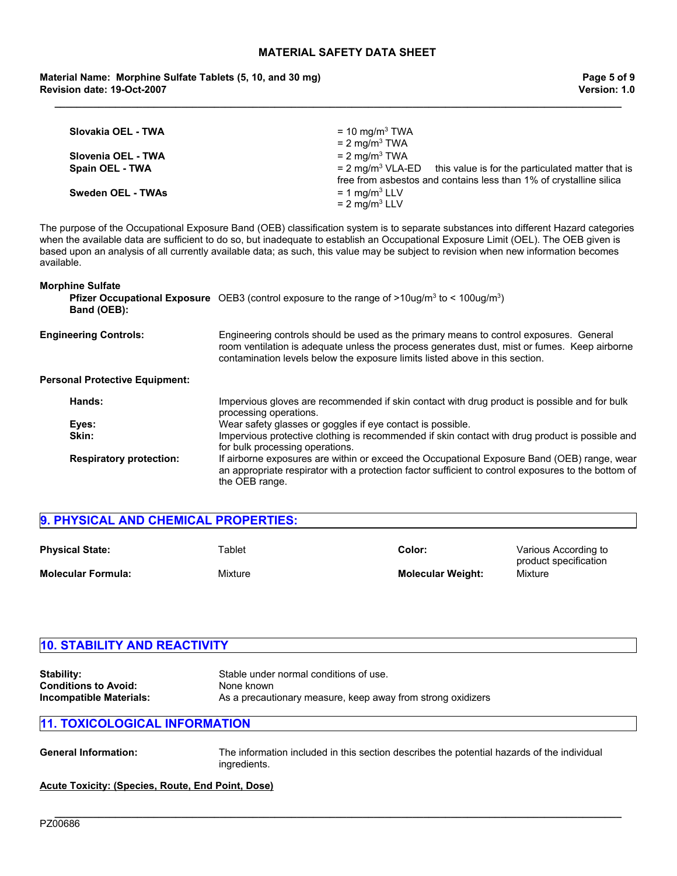**\_\_\_\_\_\_\_\_\_\_\_\_\_\_\_\_\_\_\_\_\_\_\_\_\_\_\_\_\_\_\_\_\_\_\_\_\_\_\_\_\_\_\_\_\_\_\_\_\_\_\_\_\_\_\_\_\_\_\_\_\_\_\_\_\_\_\_\_\_\_\_\_\_\_\_\_\_\_\_\_\_\_\_\_\_\_\_\_\_\_\_\_\_\_\_\_\_\_\_\_\_\_\_** 

**Material Name: Morphine Sulfate Tablets (5, 10, and 30 mg) Revision date: 19-Oct-2007**

| Slovakia OEL - TWA                    | $= 10$ mg/m <sup>3</sup> TWA<br>$= 2$ mg/m <sup>3</sup> TWA                                                                      |
|---------------------------------------|----------------------------------------------------------------------------------------------------------------------------------|
| Slovenia OEL - TWA<br>Spain OEL - TWA | $= 2$ mg/m <sup>3</sup> TWA<br>$= 2$ mg/m <sup>3</sup> VLA-ED this value is for the particulated matter that is                  |
| <b>Sweden OEL - TWAs</b>              | free from asbestos and contains less than 1% of crystalline silica<br>$= 1$ mg/m <sup>3</sup> LLV<br>$= 2$ mg/m <sup>3</sup> LLV |

The purpose of the Occupational Exposure Band (OEB) classification system is to separate substances into different Hazard categories when the available data are sufficient to do so, but inadequate to establish an Occupational Exposure Limit (OEL). The OEB given is based upon an analysis of all currently available data; as such, this value may be subject to revision when new information becomes available.

| <b>Morphine Sulfate</b> |  |  |
|-------------------------|--|--|
|                         |  |  |

| <b>Pfizer Occupational Exposure</b> OEB3 (control exposure to the range of $>10$ ug/m <sup>3</sup> to < 100ug/m <sup>3</sup> )                                                                                                                                         |
|------------------------------------------------------------------------------------------------------------------------------------------------------------------------------------------------------------------------------------------------------------------------|
| Engineering controls should be used as the primary means to control exposures. General<br>room ventilation is adequate unless the process generates dust, mist or fumes. Keep airborne<br>contamination levels below the exposure limits listed above in this section. |
|                                                                                                                                                                                                                                                                        |
| Impervious gloves are recommended if skin contact with drug product is possible and for bulk<br>processing operations.                                                                                                                                                 |
| Wear safety glasses or goggles if eye contact is possible.                                                                                                                                                                                                             |
| Impervious protective clothing is recommended if skin contact with drug product is possible and<br>for bulk processing operations.                                                                                                                                     |
| If airborne exposures are within or exceed the Occupational Exposure Band (OEB) range, wear<br>an appropriate respirator with a protection factor sufficient to control exposures to the bottom of<br>the OEB range.                                                   |
|                                                                                                                                                                                                                                                                        |

| 9. PHYSICAL AND CHEMICAL PROPERTIES: |         |                          |                                               |  |
|--------------------------------------|---------|--------------------------|-----------------------------------------------|--|
| <b>Physical State:</b>               | Tablet  | Color:                   | Various According to<br>product specification |  |
| <b>Molecular Formula:</b>            | Mixture | <b>Molecular Weight:</b> | Mixture                                       |  |

| <b>10. STABILITY AND REACTIVITY</b>                                                |                                                                                                                     |  |
|------------------------------------------------------------------------------------|---------------------------------------------------------------------------------------------------------------------|--|
| <b>Stability:</b><br><b>Conditions to Avoid:</b><br><b>Incompatible Materials:</b> | Stable under normal conditions of use.<br>None known<br>As a precautionary measure, keep away from strong oxidizers |  |
| <b>11. TOXICOLOGICAL INFORMATION</b>                                               |                                                                                                                     |  |

**\_\_\_\_\_\_\_\_\_\_\_\_\_\_\_\_\_\_\_\_\_\_\_\_\_\_\_\_\_\_\_\_\_\_\_\_\_\_\_\_\_\_\_\_\_\_\_\_\_\_\_\_\_\_\_\_\_\_\_\_\_\_\_\_\_\_\_\_\_\_\_\_\_\_\_\_\_\_\_\_\_\_\_\_\_\_\_\_\_\_\_\_\_\_\_\_\_\_\_\_\_\_\_** 

**General Information:** The information included in this section describes the potential hazards of the individual

| ingredients. |
|--------------|
|              |

**Acute Toxicity: (Species, Route, End Point, Dose)**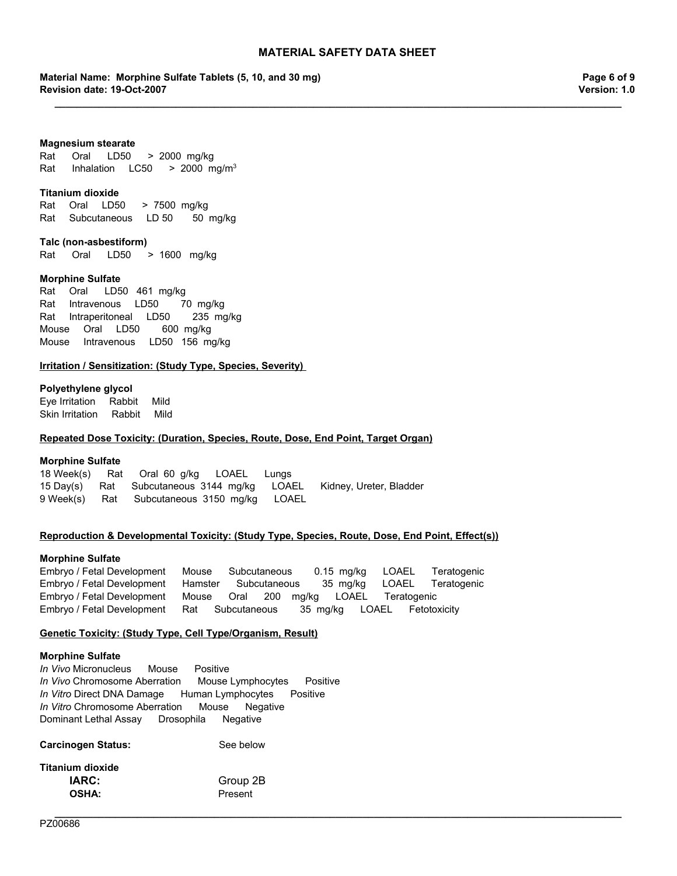**\_\_\_\_\_\_\_\_\_\_\_\_\_\_\_\_\_\_\_\_\_\_\_\_\_\_\_\_\_\_\_\_\_\_\_\_\_\_\_\_\_\_\_\_\_\_\_\_\_\_\_\_\_\_\_\_\_\_\_\_\_\_\_\_\_\_\_\_\_\_\_\_\_\_\_\_\_\_\_\_\_\_\_\_\_\_\_\_\_\_\_\_\_\_\_\_\_\_\_\_\_\_\_** 

**Material Name: Morphine Sulfate Tablets (5, 10, and 30 mg) Revision date: 19-Oct-2007**

**Page 6 of 9 Version: 1.0**

#### **Magnesium stearate**

Rat Oral LD50 >2000mg/kg Rat Inhalation  $LC50$  >  $2000$  mg/m<sup>3</sup>

#### **Titanium dioxide**

RatOralLD50 >7500mg/kg RatSubcutaneousLD 5050mg/kg

**Talc (non-asbestiform)** Rat Oral LD50 >1600 mg/kg

#### **Morphine Sulfate**

RatIntravenousLD50 70mg/kg RatIntraperitonealLD50 235mg/kg MouseOralLD50 600mg/kg MouseIntravenousLD50 156mg/kg RatOral LD50 461mg/kg

#### **Irritation / Sensitization: (Study Type, Species, Severity)**

#### **Polyethylene glycol**

Eye IrritationRabbitMild Skin IrritationRabbitMild

#### **Repeated Dose Toxicity: (Duration, Species, Route, Dose, End Point, Target Organ)**

#### **Morphine Sulfate**

18 Week(s)RatOral60g/kgLOAELLungs 15 Day(s)RatSubcutaneous3144mg/kgLOAELKidney, Ureter, Bladder 9 Week(s)RatSubcutaneous3150mg/kgLOAEL

### **Reproduction & Developmental Toxicity: (Study Type, Species, Route, Dose, End Point, Effect(s))**

#### **Morphine Sulfate**

Embryo / Fetal DevelopmentMouseSubcutaneous0.15mg/kgLOAELTeratogenic Embryo / Fetal DevelopmentHamsterSubcutaneous35mg/kgLOAELTeratogenic Embryo / Fetal DevelopmentMouseOral200mg/kgLOAELTeratogenic Embryo / Fetal DevelopmentRatSubcutaneous35mg/kgLOAELFetotoxicity

**\_\_\_\_\_\_\_\_\_\_\_\_\_\_\_\_\_\_\_\_\_\_\_\_\_\_\_\_\_\_\_\_\_\_\_\_\_\_\_\_\_\_\_\_\_\_\_\_\_\_\_\_\_\_\_\_\_\_\_\_\_\_\_\_\_\_\_\_\_\_\_\_\_\_\_\_\_\_\_\_\_\_\_\_\_\_\_\_\_\_\_\_\_\_\_\_\_\_\_\_\_\_\_** 

#### **Genetic Toxicity: (Study Type, Cell Type/Organism, Result)**

### **Morphine Sulfate**

*In Vivo* MicronucleusMousePositive *In Vivo* Chromosome AberrationMouse LymphocytesPositive *In Vitro* Direct DNA DamageHuman LymphocytesPositive *In Vitro* Chromosome AberrationMouseNegative Dominant Lethal AssayDrosophilaNegative

| <b>Carcinogen Status:</b> | See below |
|---------------------------|-----------|
| <b>Titanium dioxide</b>   |           |
| IARC:                     | Group 2B  |
| <b>OSHA:</b>              | Present   |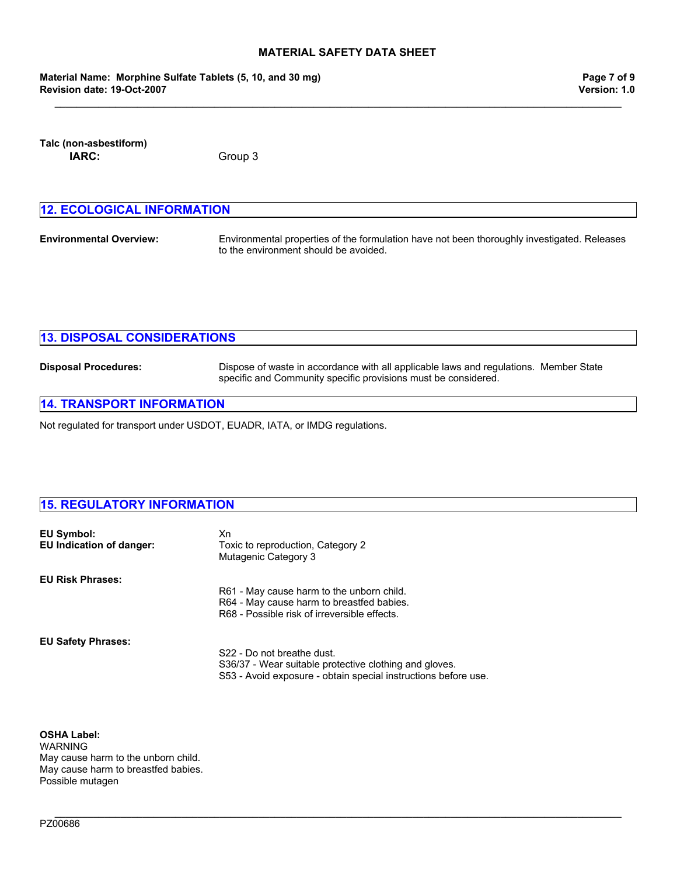**\_\_\_\_\_\_\_\_\_\_\_\_\_\_\_\_\_\_\_\_\_\_\_\_\_\_\_\_\_\_\_\_\_\_\_\_\_\_\_\_\_\_\_\_\_\_\_\_\_\_\_\_\_\_\_\_\_\_\_\_\_\_\_\_\_\_\_\_\_\_\_\_\_\_\_\_\_\_\_\_\_\_\_\_\_\_\_\_\_\_\_\_\_\_\_\_\_\_\_\_\_\_\_** 

**Material Name: Morphine Sulfate Tablets (5, 10, and 30 mg) Revision date: 19-Oct-2007**

**Talc (non-asbestiform) IARC:** Group 3

| <b>12. ECOLOGICAL INFORMATION</b> |                                                                                                                                      |  |
|-----------------------------------|--------------------------------------------------------------------------------------------------------------------------------------|--|
| <b>Environmental Overview:</b>    | Environmental properties of the formulation have not been thoroughly investigated. Releases<br>to the environment should be avoided. |  |

| <b>13. DISPOSAL CONSIDERATIONS</b> |                                                                                                                                                         |  |
|------------------------------------|---------------------------------------------------------------------------------------------------------------------------------------------------------|--|
| <b>Disposal Procedures:</b>        | Dispose of waste in accordance with all applicable laws and regulations. Member State<br>specific and Community specific provisions must be considered. |  |

**\_\_\_\_\_\_\_\_\_\_\_\_\_\_\_\_\_\_\_\_\_\_\_\_\_\_\_\_\_\_\_\_\_\_\_\_\_\_\_\_\_\_\_\_\_\_\_\_\_\_\_\_\_\_\_\_\_\_\_\_\_\_\_\_\_\_\_\_\_\_\_\_\_\_\_\_\_\_\_\_\_\_\_\_\_\_\_\_\_\_\_\_\_\_\_\_\_\_\_\_\_\_\_** 

# **14. TRANSPORT INFORMATION**

Not regulated for transport under USDOT, EUADR, IATA, or IMDG regulations.

# **15. REGULATORY INFORMATION**

| EU Symbol:<br><b>EU Indication of danger:</b> | Xn<br>Toxic to reproduction, Category 2<br>Mutagenic Category 3                           |
|-----------------------------------------------|-------------------------------------------------------------------------------------------|
| <b>EU Risk Phrases:</b>                       |                                                                                           |
|                                               | R61 - May cause harm to the unborn child.                                                 |
|                                               | R64 - May cause harm to breastfed babies.<br>R68 - Possible risk of irreversible effects. |
|                                               |                                                                                           |
| <b>EU Safety Phrases:</b>                     |                                                                                           |
|                                               | S22 - Do not breathe dust.                                                                |
|                                               | S36/37 - Wear suitable protective clothing and gloves.                                    |
|                                               | S53 - Avoid exposure - obtain special instructions before use.                            |

**OSHA Label:**  WARNING May cause harm to the unborn child. May cause harm to breastfed babies. Possible mutagen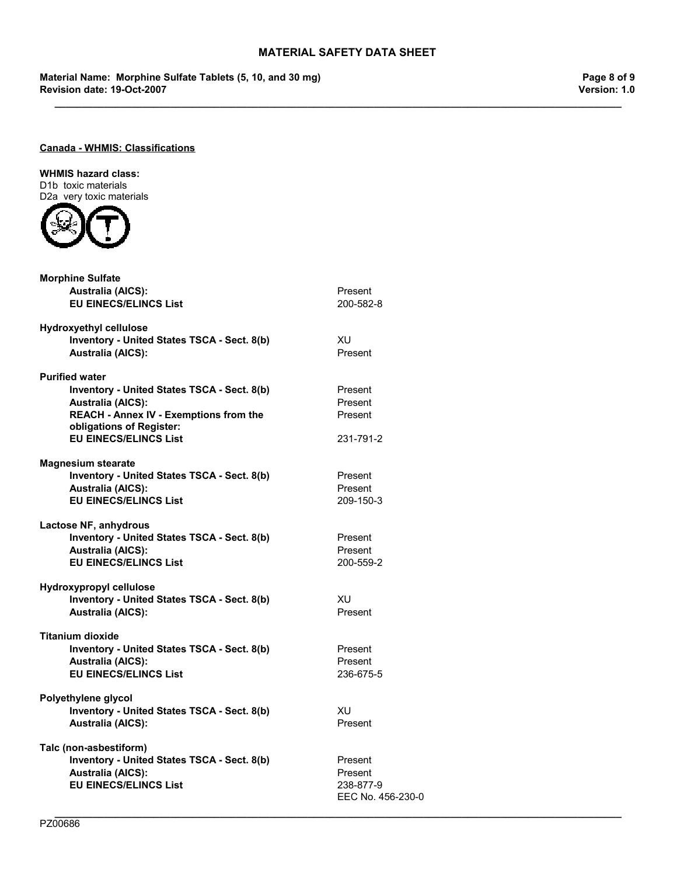**\_\_\_\_\_\_\_\_\_\_\_\_\_\_\_\_\_\_\_\_\_\_\_\_\_\_\_\_\_\_\_\_\_\_\_\_\_\_\_\_\_\_\_\_\_\_\_\_\_\_\_\_\_\_\_\_\_\_\_\_\_\_\_\_\_\_\_\_\_\_\_\_\_\_\_\_\_\_\_\_\_\_\_\_\_\_\_\_\_\_\_\_\_\_\_\_\_\_\_\_\_\_\_** 

**\_\_\_\_\_\_\_\_\_\_\_\_\_\_\_\_\_\_\_\_\_\_\_\_\_\_\_\_\_\_\_\_\_\_\_\_\_\_\_\_\_\_\_\_\_\_\_\_\_\_\_\_\_\_\_\_\_\_\_\_\_\_\_\_\_\_\_\_\_\_\_\_\_\_\_\_\_\_\_\_\_\_\_\_\_\_\_\_\_\_\_\_\_\_\_\_\_\_\_\_\_\_\_** 

**Material Name: Morphine Sulfate Tablets (5, 10, and 30 mg) Revision date: 19-Oct-2007**

**Page 8 of 9 Version: 1.0**

# **Canada - WHMIS: Classifications**

# **WHMIS hazard class:**

D1b toxic materials D2a very toxic materials



| <b>Morphine Sulfate</b>                                            |                   |
|--------------------------------------------------------------------|-------------------|
| <b>Australia (AICS):</b>                                           | Present           |
| <b>EU EINECS/ELINCS List</b>                                       | 200-582-8         |
| <b>Hydroxyethyl cellulose</b>                                      |                   |
| Inventory - United States TSCA - Sect. 8(b)                        | XU                |
| <b>Australia (AICS):</b>                                           | Present           |
| <b>Purified water</b>                                              |                   |
| Inventory - United States TSCA - Sect. 8(b)                        | Present           |
| <b>Australia (AICS):</b>                                           | Present           |
| REACH - Annex IV - Exemptions from the<br>obligations of Register: | Present           |
| <b>EU EINECS/ELINCS List</b>                                       | 231-791-2         |
| <b>Magnesium stearate</b>                                          |                   |
| Inventory - United States TSCA - Sect. 8(b)                        | Present           |
| <b>Australia (AICS):</b>                                           | Present           |
| <b>EU EINECS/ELINCS List</b>                                       | 209-150-3         |
| Lactose NF, anhydrous                                              |                   |
| Inventory - United States TSCA - Sect. 8(b)                        | Present           |
| <b>Australia (AICS):</b>                                           | Present           |
| <b>EU EINECS/ELINCS List</b>                                       | 200-559-2         |
| <b>Hydroxypropyl cellulose</b>                                     |                   |
| Inventory - United States TSCA - Sect. 8(b)                        | XU.               |
| <b>Australia (AICS):</b>                                           | Present           |
| Titanium dioxide                                                   |                   |
| Inventory - United States TSCA - Sect. 8(b)                        | Present           |
| <b>Australia (AICS):</b>                                           | Present           |
| <b>EU EINECS/ELINCS List</b>                                       | 236-675-5         |
| Polyethylene glycol                                                |                   |
| Inventory - United States TSCA - Sect. 8(b)                        | XU.               |
| <b>Australia (AICS):</b>                                           | Present           |
| Talc (non-asbestiform)                                             |                   |
| Inventory - United States TSCA - Sect. 8(b)                        | Present           |
| <b>Australia (AICS):</b>                                           | Present           |
| <b>EU EINECS/ELINCS List</b>                                       | 238-877-9         |
|                                                                    | EEC No. 456-230-0 |